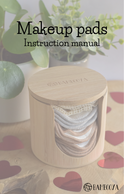# **Makeup pads Instruction manual**

**COOLANTINOOY** 

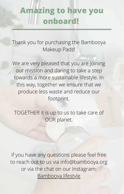### **Amazing to have you onboard!**

Thank you for purchasing the Bambooya Makeup Pads!

We are very pleased that you are joining our mission and daring to take a step towards a more sustainable lifestyle. In this way, together we ensure that we produce less waste and reduce our footprint.

TOGETHER it is up to us to take care of OUR planet.

if you have any questions please feel free to reach out to us via info@bambooya.org or via the chat on our Instagram: [Bambooya.lifestyle](https://www.instagram.com/bambooya.lifestyle/)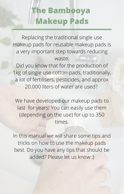### **The Bambooya Makeup Pads**

Replacing the traditional single use makeup pads for reusable makeup pads is a very important step towards reducing waste.

Did you know that for the production of 1kg of single use cotton-pads, traditionally, a lot of fertilisers, pesticides, and approx 20.000 liters of water are used?

We have developed our makeup pads to last for years! You can easily use them (depending on the use) for up to 350 times.

In this manual we will share some tips and tricks on how to use the makeup pads best. Do you have any tips that should be added? Please let us know :)

.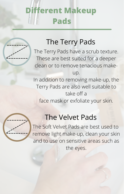## **Different Makeup Pads**

#### The Terry Pads

The Terry Pads have a scrub texture. These are best suited for a deeper clean or to remove tenacious makeup. In addition to removing make-up, the Terry Pads are also well suitable to take off a face mask or exfoliate your skin.

#### The Velvet Pads

The Soft Velvet Pads are best used to remove light make-up, clean your skin and to use on sensitive areas such as the eyes.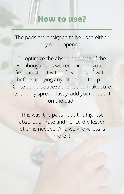#### **How to use?**

The pads are designed to be used either dry or dampened.

To optimize the absorption rate of the Bambooya pads we recommend you to first moisten it with a few drops of water before applying any lotions on the pad. Once done, squeeze the pad to make sure its equally spread. lastly, add your product on the pad.

This way, the pads have the highest absorption rate and hence the lesser lotion is needed. And we know, less is more :)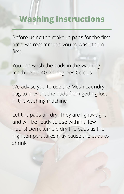### **Washing instructions**

Before using the makeup pads for the first time, we recommend you to wash them first

You can wash the pads in the washing machine on 40-60 degrees Celcius

We advise you to use the Mesh Laundry bag to prevent the pads from getting lost in the washing machine

Let the pads air-dry. They are lightweight and will be ready to use within a few hours! Don't tumble dry the pads as the high temperatures may cause the pads to shrink.